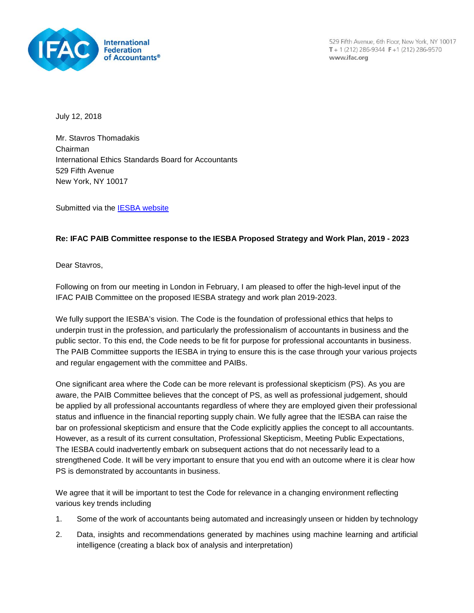

529 Fifth Avenue, 6th Floor, New York, NY 10017  $T + 1(212) 286 - 9344$  F + 1 (212) 286-9570 www.ifac.org

July 12, 2018

Mr. Stavros Thomadakis Chairman International Ethics Standards Board for Accountants 529 Fifth Avenue New York, NY 10017

Submitted via the [IESBA website](http://www.ifac.org/publications-resources/consultation-paper-proposed-strategy-and-work-plan-2019-2023)

## **Re: IFAC PAIB Committee response to the IESBA Proposed Strategy and Work Plan, 2019 - 2023**

Dear Stavros,

Following on from our meeting in London in February, I am pleased to offer the high-level input of the IFAC PAIB Committee on the proposed IESBA strategy and work plan 2019-2023.

We fully support the IESBA's vision. The Code is the foundation of professional ethics that helps to underpin trust in the profession, and particularly the professionalism of accountants in business and the public sector. To this end, the Code needs to be fit for purpose for professional accountants in business. The PAIB Committee supports the IESBA in trying to ensure this is the case through your various projects and regular engagement with the committee and PAIBs.

One significant area where the Code can be more relevant is professional skepticism (PS). As you are aware, the PAIB Committee believes that the concept of PS, as well as professional judgement, should be applied by all professional accountants regardless of where they are employed given their professional status and influence in the financial reporting supply chain. We fully agree that the IESBA can raise the bar on professional skepticism and ensure that the Code explicitly applies the concept to all accountants. However, as a result of its current consultation, Professional Skepticism, Meeting Public Expectations, The IESBA could inadvertently embark on subsequent actions that do not necessarily lead to a strengthened Code. It will be very important to ensure that you end with an outcome where it is clear how PS is demonstrated by accountants in business.

We agree that it will be important to test the Code for relevance in a changing environment reflecting various key trends including

- 1. Some of the work of accountants being automated and increasingly unseen or hidden by technology
- 2. Data, insights and recommendations generated by machines using machine learning and artificial intelligence (creating a black box of analysis and interpretation)